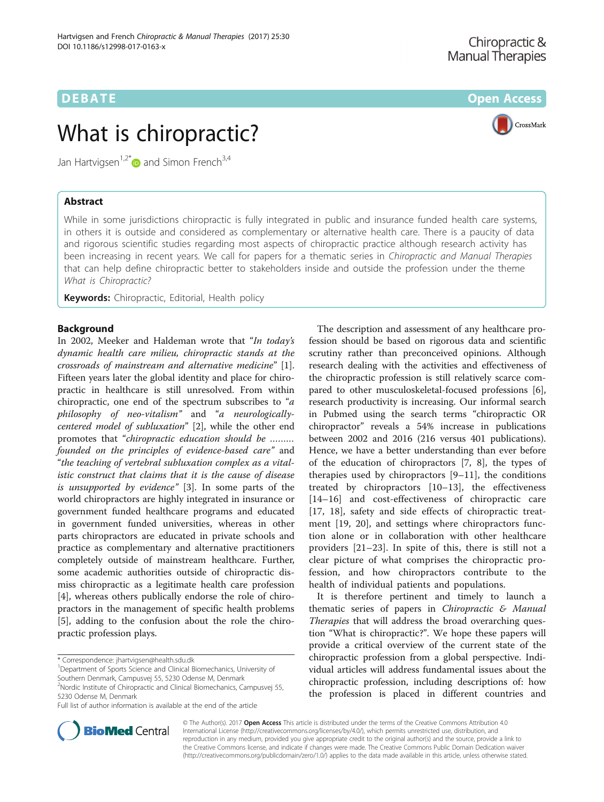CrossMark

# **DEBATE CONSERVATION CONSERVATION**

# What is chiropractic?

Jan Hartvigsen<sup>1,2\*</sup> and Simon French<sup>3,4</sup>

# Abstract

While in some jurisdictions chiropractic is fully integrated in public and insurance funded health care systems, in others it is outside and considered as complementary or alternative health care. There is a paucity of data and rigorous scientific studies regarding most aspects of chiropractic practice although research activity has been increasing in recent years. We call for papers for a thematic series in Chiropractic and Manual Therapies that can help define chiropractic better to stakeholders inside and outside the profession under the theme What is Chiropractic?

Keywords: Chiropractic, Editorial, Health policy

## Background

In 2002, Meeker and Haldeman wrote that "In today's dynamic health care milieu, chiropractic stands at the crossroads of mainstream and alternative medicine" [\[1](#page-1-0)]. Fifteen years later the global identity and place for chiropractic in healthcare is still unresolved. From within chiropractic, one end of the spectrum subscribes to "a philosophy of neo-vitalism" and "a neurologicallycentered model of subluxation" [\[2\]](#page-1-0), while the other end promotes that "chiropractic education should be ……… founded on the principles of evidence-based care" and "the teaching of vertebral subluxation complex as a vitalistic construct that claims that it is the cause of disease is unsupported by evidence" [[3\]](#page-1-0). In some parts of the world chiropractors are highly integrated in insurance or government funded healthcare programs and educated in government funded universities, whereas in other parts chiropractors are educated in private schools and practice as complementary and alternative practitioners completely outside of mainstream healthcare. Further, some academic authorities outside of chiropractic dismiss chiropractic as a legitimate health care profession [[4\]](#page-1-0), whereas others publically endorse the role of chiropractors in the management of specific health problems [[5\]](#page-1-0), adding to the confusion about the role the chiropractic profession plays.

\* Correspondence: [jhartvigsen@health.sdu.dk](mailto:jhartvigsen@health.sdu.dk) <sup>1</sup>



It is therefore pertinent and timely to launch a thematic series of papers in Chiropractic  $\mathcal E$  Manual Therapies that will address the broad overarching question "What is chiropractic?". We hope these papers will provide a critical overview of the current state of the chiropractic profession from a global perspective. Individual articles will address fundamental issues about the chiropractic profession, including descriptions of: how the profession is placed in different countries and



© The Author(s). 2017 **Open Access** This article is distributed under the terms of the Creative Commons Attribution 4.0 International License [\(http://creativecommons.org/licenses/by/4.0/](http://creativecommons.org/licenses/by/4.0/)), which permits unrestricted use, distribution, and reproduction in any medium, provided you give appropriate credit to the original author(s) and the source, provide a link to the Creative Commons license, and indicate if changes were made. The Creative Commons Public Domain Dedication waiver [\(http://creativecommons.org/publicdomain/zero/1.0/](http://creativecommons.org/publicdomain/zero/1.0/)) applies to the data made available in this article, unless otherwise stated.

<sup>&</sup>lt;sup>1</sup>Department of Sports Science and Clinical Biomechanics, University of Southern Denmark, Campusvej 55, 5230 Odense M, Denmark

<sup>&</sup>lt;sup>2</sup>Nordic Institute of Chiropractic and Clinical Biomechanics, Campusvej 55, 5230 Odense M, Denmark

Full list of author information is available at the end of the article